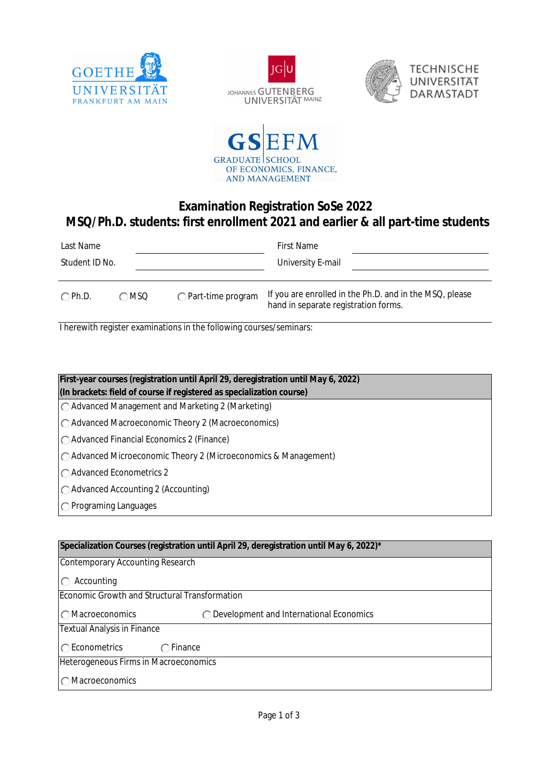







## **Examination Registration SoSe 2022 MSQ/Ph.D. students: first enrollment 2021 and earlier & all part-time students**

| Last Name       |      |                             | <b>First Name</b>                                                                               |  |
|-----------------|------|-----------------------------|-------------------------------------------------------------------------------------------------|--|
| Student ID No.  |      |                             | University E-mail                                                                               |  |
| $\bigcap$ Ph.D. | ∩MSQ | $\bigcap$ Part-time program | If you are enrolled in the Ph.D. and in the MSQ, please<br>hand in separate registration forms. |  |

I herewith register examinations in the following courses/seminars:

| First-year courses (registration until April 29, deregistration until May 6, 2022) |  |  |  |  |
|------------------------------------------------------------------------------------|--|--|--|--|
| (In brackets: field of course if registered as specialization course)              |  |  |  |  |
| $\bigcirc$ Advanced Management and Marketing 2 (Marketing)                         |  |  |  |  |
| ○ Advanced Macroeconomic Theory 2 (Macroeconomics)                                 |  |  |  |  |
| $\bigcap$ Advanced Financial Economics 2 (Finance)                                 |  |  |  |  |
| $\bigcirc$ Advanced Microeconomic Theory 2 (Microeconomics & Management)           |  |  |  |  |
| $\bigcap$ Advanced Econometrics 2                                                  |  |  |  |  |
| $\bigcap$ Advanced Accounting 2 (Accounting)                                       |  |  |  |  |
| $\bigcap$ Programing Languages                                                     |  |  |  |  |

| Specialization Courses (registration until April 29, deregistration until May 6, 2022)* |  |  |  |  |
|-----------------------------------------------------------------------------------------|--|--|--|--|
| Contemporary Accounting Research                                                        |  |  |  |  |
|                                                                                         |  |  |  |  |
| Accounting                                                                              |  |  |  |  |
| Economic Growth and Structural Transformation                                           |  |  |  |  |
|                                                                                         |  |  |  |  |
| ◯ Macroeconomics<br>$\bigcirc$ Development and International Economics                  |  |  |  |  |
| <b>Textual Analysis in Finance</b>                                                      |  |  |  |  |
|                                                                                         |  |  |  |  |
| ◯ Econometrics<br>Finance                                                               |  |  |  |  |
| Heterogeneous Firms in Macroeconomics                                                   |  |  |  |  |
| ◯ Macroeconomics                                                                        |  |  |  |  |
|                                                                                         |  |  |  |  |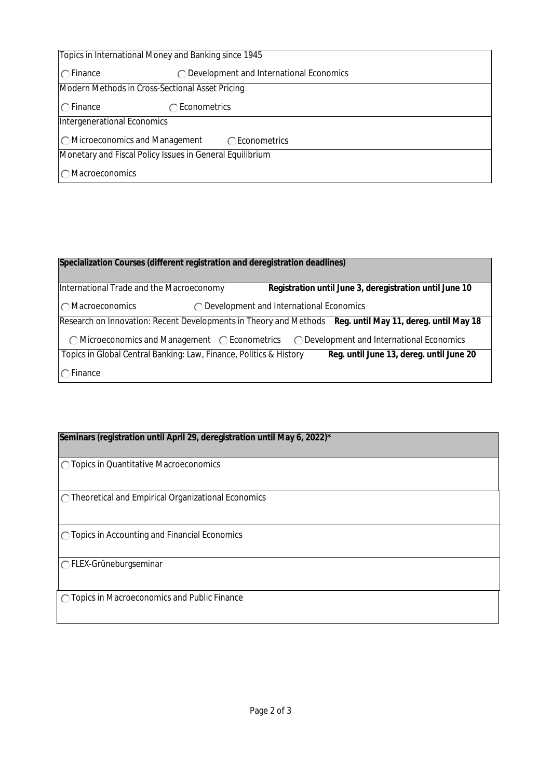| Topics in International Money and Banking since 1945     |                                                   |  |  |  |
|----------------------------------------------------------|---------------------------------------------------|--|--|--|
| $\bigcap$ Finance                                        | $\bigcap$ Development and International Economics |  |  |  |
| Modern Methods in Cross-Sectional Asset Pricing          |                                                   |  |  |  |
| $\bigcap$ Finance                                        | $\bigcirc$ Econometrics                           |  |  |  |
| Intergenerational Economics                              |                                                   |  |  |  |
| $\bigcirc$ Microeconomics and Management                 | ◯ Econometrics                                    |  |  |  |
| Monetary and Fiscal Policy Issues in General Equilibrium |                                                   |  |  |  |
| $\bigcap$ Macroeconomics                                 |                                                   |  |  |  |

## **Specialization Courses (different registration and deregistration deadlines)**

International Trade and the Macroeconomy Macroeconomics Development and International Economics **Registration until June 3, deregistration until June 10** Research on Innovation: Recent Developments in Theory and Methods **Reg. until May 11, dereg. until May 18**  $\bigcirc$  Microeconomics and Management  $\bigcirc$  Econometrics  $\bigcirc$  Development and International Economics  $\bigcap$  Finance Topics in Global Central Banking: Law, Finance, Politics & History **Reg. until June 13, dereg. until June 20**

## **Seminars (registration until April 29, deregistration until May 6, 2022)\***

◯ Topics in Quantitative Macroeconomics

Theoretical and Empirical Organizational Economics

◯ Topics in Accounting and Financial Economics

FLEX-Grüneburgseminar

O Topics in Macroeconomics and Public Finance